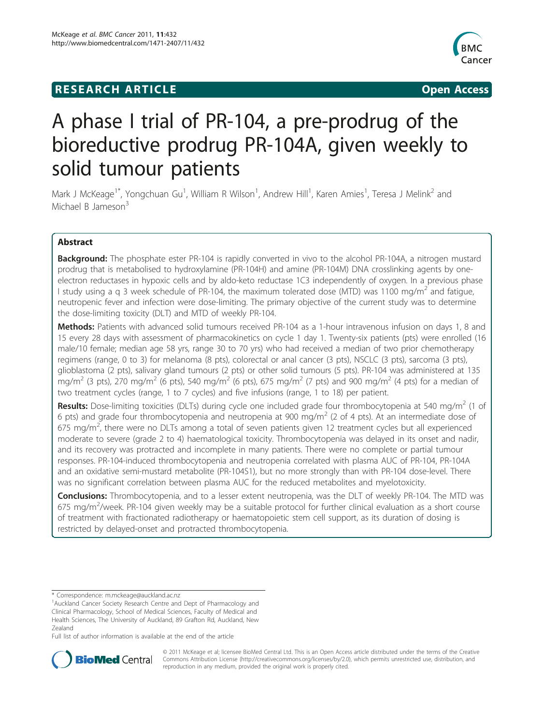# **RESEARCH ARTICLE Example 2018 12:00 Open Access**



# A phase I trial of PR-104, a pre-prodrug of the bioreductive prodrug PR-104A, given weekly to solid tumour patients

Mark J McKeage<sup>1\*</sup>, Yongchuan Gu<sup>1</sup>, William R Wilson<sup>1</sup>, Andrew Hill<sup>1</sup>, Karen Amies<sup>1</sup>, Teresa J Melink<sup>2</sup> and Michael B Jameson<sup>3</sup>

# Abstract

**Background:** The phosphate ester PR-104 is rapidly converted in vivo to the alcohol PR-104A, a nitrogen mustard prodrug that is metabolised to hydroxylamine (PR-104H) and amine (PR-104M) DNA crosslinking agents by oneelectron reductases in hypoxic cells and by aldo-keto reductase 1C3 independently of oxygen. In a previous phase I study using a q 3 week schedule of PR-104, the maximum tolerated dose (MTD) was 1100 mg/m<sup>2</sup> and fatigue, neutropenic fever and infection were dose-limiting. The primary objective of the current study was to determine the dose-limiting toxicity (DLT) and MTD of weekly PR-104.

Methods: Patients with advanced solid tumours received PR-104 as a 1-hour intravenous infusion on days 1, 8 and 15 every 28 days with assessment of pharmacokinetics on cycle 1 day 1. Twenty-six patients (pts) were enrolled (16 male/10 female; median age 58 yrs, range 30 to 70 yrs) who had received a median of two prior chemotherapy regimens (range, 0 to 3) for melanoma (8 pts), colorectal or anal cancer (3 pts), NSCLC (3 pts), sarcoma (3 pts), glioblastoma (2 pts), salivary gland tumours (2 pts) or other solid tumours (5 pts). PR-104 was administered at 135 mg/m<sup>2</sup> (3 pts), 270 mg/m<sup>2</sup> (6 pts), 540 mg/m<sup>2</sup> (6 pts), 675 mg/m<sup>2</sup> (7 pts) and 900 mg/m<sup>2</sup> (4 pts) for a median of two treatment cycles (range, 1 to 7 cycles) and five infusions (range, 1 to 18) per patient.

**Results:** Dose-limiting toxicities (DLTs) during cycle one included grade four thrombocytopenia at 540 mg/m<sup>2</sup> (1 of 6 pts) and grade four thrombocytopenia and neutropenia at 900 mg/m<sup>2</sup> (2 of 4 pts). At an intermediate dose of 675 mg/m<sup>2</sup>, there were no DLTs among a total of seven patients given 12 treatment cycles but all experienced moderate to severe (grade 2 to 4) haematological toxicity. Thrombocytopenia was delayed in its onset and nadir, and its recovery was protracted and incomplete in many patients. There were no complete or partial tumour responses. PR-104-induced thrombocytopenia and neutropenia correlated with plasma AUC of PR-104, PR-104A and an oxidative semi-mustard metabolite (PR-104S1), but no more strongly than with PR-104 dose-level. There was no significant correlation between plasma AUC for the reduced metabolites and myelotoxicity.

Conclusions: Thrombocytopenia, and to a lesser extent neutropenia, was the DLT of weekly PR-104. The MTD was 675 mg/m<sup>2</sup>/week. PR-104 given weekly may be a suitable protocol for further clinical evaluation as a short course of treatment with fractionated radiotherapy or haematopoietic stem cell support, as its duration of dosing is restricted by delayed-onset and protracted thrombocytopenia.

Full list of author information is available at the end of the article



© 2011 McKeage et al; licensee BioMed Central Ltd. This is an Open Access article distributed under the terms of the Creative Commons Attribution License [\(http://creativecommons.org/licenses/by/2.0](http://creativecommons.org/licenses/by/2.0)), which permits unrestricted use, distribution, and reproduction in any medium, provided the original work is properly cited.

<sup>\*</sup> Correspondence: [m.mckeage@auckland.ac.nz](mailto:m.mckeage@auckland.ac.nz)

<sup>&</sup>lt;sup>1</sup> Auckland Cancer Society Research Centre and Dept of Pharmacology and Clinical Pharmacology, School of Medical Sciences, Faculty of Medical and Health Sciences, The University of Auckland, 89 Grafton Rd, Auckland, New Zealand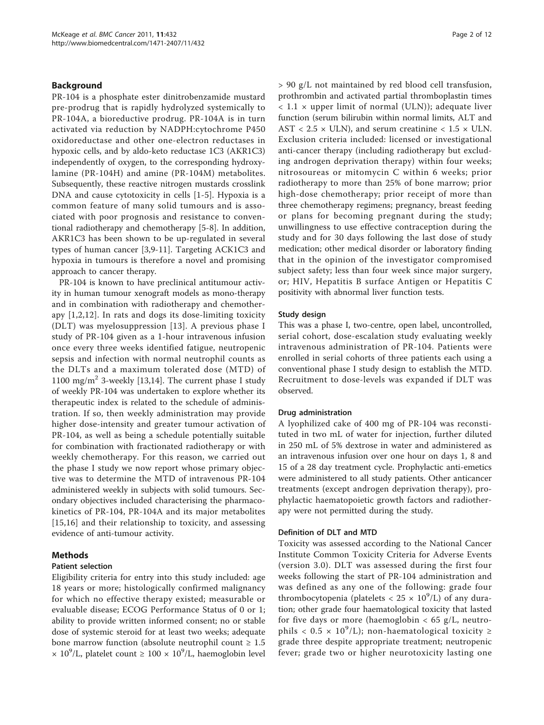## Background

PR-104 is a phosphate ester dinitrobenzamide mustard pre-prodrug that is rapidly hydrolyzed systemically to PR-104A, a bioreductive prodrug. PR-104A is in turn activated via reduction by NADPH:cytochrome P450 oxidoreductase and other one-electron reductases in hypoxic cells, and by aldo-keto reductase 1C3 (AKR1C3) independently of oxygen, to the corresponding hydroxylamine (PR-104H) and amine (PR-104M) metabolites. Subsequently, these reactive nitrogen mustards crosslink DNA and cause cytotoxicity in cells [\[1](#page-10-0)-[5](#page-10-0)]. Hypoxia is a common feature of many solid tumours and is associated with poor prognosis and resistance to conventional radiotherapy and chemotherapy [[5-8](#page-10-0)]. In addition, AKR1C3 has been shown to be up-regulated in several types of human cancer [[3,9-11\]](#page-10-0). Targeting ACK1C3 and hypoxia in tumours is therefore a novel and promising approach to cancer therapy.

PR-104 is known to have preclinical antitumour activity in human tumour xenograft models as mono-therapy and in combination with radiotherapy and chemotherapy [[1,2,12](#page-10-0)]. In rats and dogs its dose-limiting toxicity (DLT) was myelosuppression [\[13\]](#page-10-0). A previous phase I study of PR-104 given as a 1-hour intravenous infusion once every three weeks identified fatigue, neutropenic sepsis and infection with normal neutrophil counts as the DLTs and a maximum tolerated dose (MTD) of 1100 mg/m<sup>2</sup> 3-weekly [\[13,14\]](#page-10-0). The current phase I study of weekly PR-104 was undertaken to explore whether its therapeutic index is related to the schedule of administration. If so, then weekly administration may provide higher dose-intensity and greater tumour activation of PR-104, as well as being a schedule potentially suitable for combination with fractionated radiotherapy or with weekly chemotherapy. For this reason, we carried out the phase I study we now report whose primary objective was to determine the MTD of intravenous PR-104 administered weekly in subjects with solid tumours. Secondary objectives included characterising the pharmacokinetics of PR-104, PR-104A and its major metabolites [[15,16](#page-10-0)] and their relationship to toxicity, and assessing evidence of anti-tumour activity.

# Methods

# Patient selection

Eligibility criteria for entry into this study included: age 18 years or more; histologically confirmed malignancy for which no effective therapy existed; measurable or evaluable disease; ECOG Performance Status of 0 or 1; ability to provide written informed consent; no or stable dose of systemic steroid for at least two weeks; adequate bone marrow function (absolute neutrophil count  $\geq 1.5$  $\times$  10<sup>9</sup>/L, platelet count  $\geq$  100  $\times$  10<sup>9</sup>/L, haemoglobin level

> 90 g/L not maintained by red blood cell transfusion, prothrombin and activated partial thromboplastin times  $< 1.1 \times$  upper limit of normal (ULN)); adequate liver function (serum bilirubin within normal limits, ALT and AST < 2.5  $\times$  ULN), and serum creatinine < 1.5  $\times$  ULN. Exclusion criteria included: licensed or investigational anti-cancer therapy (including radiotherapy but excluding androgen deprivation therapy) within four weeks; nitrosoureas or mitomycin C within 6 weeks; prior radiotherapy to more than 25% of bone marrow; prior high-dose chemotherapy; prior receipt of more than three chemotherapy regimens; pregnancy, breast feeding or plans for becoming pregnant during the study; unwillingness to use effective contraception during the study and for 30 days following the last dose of study medication; other medical disorder or laboratory finding that in the opinion of the investigator compromised subject safety; less than four week since major surgery, or; HIV, Hepatitis B surface Antigen or Hepatitis C positivity with abnormal liver function tests.

## Study design

This was a phase I, two-centre, open label, uncontrolled, serial cohort, dose-escalation study evaluating weekly intravenous administration of PR-104. Patients were enrolled in serial cohorts of three patients each using a conventional phase I study design to establish the MTD. Recruitment to dose-levels was expanded if DLT was observed.

## Drug administration

A lyophilized cake of 400 mg of PR-104 was reconstituted in two mL of water for injection, further diluted in 250 mL of 5% dextrose in water and administered as an intravenous infusion over one hour on days 1, 8 and 15 of a 28 day treatment cycle. Prophylactic anti-emetics were administered to all study patients. Other anticancer treatments (except androgen deprivation therapy), prophylactic haematopoietic growth factors and radiotherapy were not permitted during the study.

## Definition of DLT and MTD

Toxicity was assessed according to the National Cancer Institute Common Toxicity Criteria for Adverse Events (version 3.0). DLT was assessed during the first four weeks following the start of PR-104 administration and was defined as any one of the following: grade four thrombocytopenia (platelets <  $25 \times 10^9$ /L) of any duration; other grade four haematological toxicity that lasted for five days or more (haemoglobin  $<$  65 g/L, neutrophils <  $0.5 \times 10^9$ /L); non-haematological toxicity ≥ grade three despite appropriate treatment; neutropenic fever; grade two or higher neurotoxicity lasting one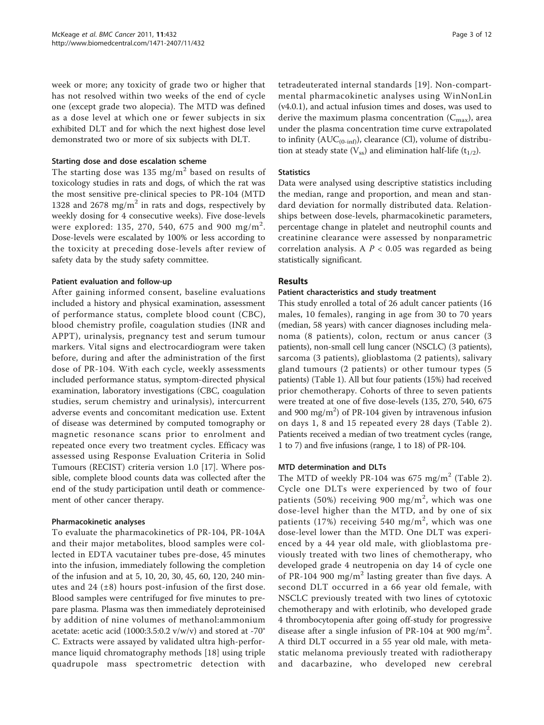week or more; any toxicity of grade two or higher that has not resolved within two weeks of the end of cycle one (except grade two alopecia). The MTD was defined as a dose level at which one or fewer subjects in six exhibited DLT and for which the next highest dose level demonstrated two or more of six subjects with DLT.

# Starting dose and dose escalation scheme

The starting dose was 135 mg/m<sup>2</sup> based on results of toxicology studies in rats and dogs, of which the rat was the most sensitive pre-clinical species to PR-104 (MTD 1328 and 2678 mg/m<sup>2</sup> in rats and dogs, respectively by weekly dosing for 4 consecutive weeks). Five dose-levels were explored: 135, 270, 540, 675 and 900 mg/m $^2\!$ . Dose-levels were escalated by 100% or less according to the toxicity at preceding dose-levels after review of safety data by the study safety committee.

# Patient evaluation and follow-up

After gaining informed consent, baseline evaluations included a history and physical examination, assessment of performance status, complete blood count (CBC), blood chemistry profile, coagulation studies (INR and APPT), urinalysis, pregnancy test and serum tumour markers. Vital signs and electrocardiogram were taken before, during and after the administration of the first dose of PR-104. With each cycle, weekly assessments included performance status, symptom-directed physical examination, laboratory investigations (CBC, coagulation studies, serum chemistry and urinalysis), intercurrent adverse events and concomitant medication use. Extent of disease was determined by computed tomography or magnetic resonance scans prior to enrolment and repeated once every two treatment cycles. Efficacy was assessed using Response Evaluation Criteria in Solid Tumours (RECIST) criteria version 1.0 [[17](#page-10-0)]. Where possible, complete blood counts data was collected after the end of the study participation until death or commencement of other cancer therapy.

## Pharmacokinetic analyses

To evaluate the pharmacokinetics of PR-104, PR-104A and their major metabolites, blood samples were collected in EDTA vacutainer tubes pre-dose, 45 minutes into the infusion, immediately following the completion of the infusion and at 5, 10, 20, 30, 45, 60, 120, 240 minutes and 24  $(\pm 8)$  hours post-infusion of the first dose. Blood samples were centrifuged for five minutes to prepare plasma. Plasma was then immediately deproteinised by addition of nine volumes of methanol:ammonium acetate: acetic acid (1000:3.5:0.2 v/w/v) and stored at -70° C. Extracts were assayed by validated ultra high-performance liquid chromatography methods [\[18](#page-10-0)] using triple quadrupole mass spectrometric detection with

tetradeuterated internal standards [[19\]](#page-10-0). Non-compartmental pharmacokinetic analyses using WinNonLin (v4.0.1), and actual infusion times and doses, was used to derive the maximum plasma concentration  $(C_{\text{max}})$ , area under the plasma concentration time curve extrapolated to infinity  $(AUC_{(0-inf)})$ , clearance (Cl), volume of distribution at steady state  $(V_{ss})$  and elimination half-life  $(t_{1/2})$ .

# **Statistics**

Data were analysed using descriptive statistics including the median, range and proportion, and mean and standard deviation for normally distributed data. Relationships between dose-levels, pharmacokinetic parameters, percentage change in platelet and neutrophil counts and creatinine clearance were assessed by nonparametric correlation analysis. A  $P < 0.05$  was regarded as being statistically significant.

# Results

# Patient characteristics and study treatment

This study enrolled a total of 26 adult cancer patients (16 males, 10 females), ranging in age from 30 to 70 years (median, 58 years) with cancer diagnoses including melanoma (8 patients), colon, rectum or anus cancer (3 patients), non-small cell lung cancer (NSCLC) (3 patients), sarcoma (3 patients), glioblastoma (2 patients), salivary gland tumours (2 patients) or other tumour types (5 patients) (Table [1\)](#page-3-0). All but four patients (15%) had received prior chemotherapy. Cohorts of three to seven patients were treated at one of five dose-levels (135, 270, 540, 675 and 900 mg/m<sup>2</sup>) of PR-104 given by intravenous infusion on days 1, 8 and 15 repeated every 28 days (Table [2\)](#page-3-0). Patients received a median of two treatment cycles (range, 1 to 7) and five infusions (range, 1 to 18) of PR-104.

## MTD determination and DLTs

The MTD of weekly PR-104 was 675 mg/m<sup>2</sup> (Table [2](#page-3-0)). Cycle one DLTs were experienced by two of four patients (50%) receiving 900 mg/m<sup>2</sup>, which was one dose-level higher than the MTD, and by one of six patients (17%) receiving 540 mg/m<sup>2</sup>, which was one dose-level lower than the MTD. One DLT was experienced by a 44 year old male, with glioblastoma previously treated with two lines of chemotherapy, who developed grade 4 neutropenia on day 14 of cycle one of PR-104 900 mg/m<sup>2</sup> lasting greater than five days. A second DLT occurred in a 66 year old female, with NSCLC previously treated with two lines of cytotoxic chemotherapy and with erlotinib, who developed grade 4 thrombocytopenia after going off-study for progressive disease after a single infusion of PR-104 at 900 mg/m<sup>2</sup>. A third DLT occurred in a 55 year old male, with metastatic melanoma previously treated with radiotherapy and dacarbazine, who developed new cerebral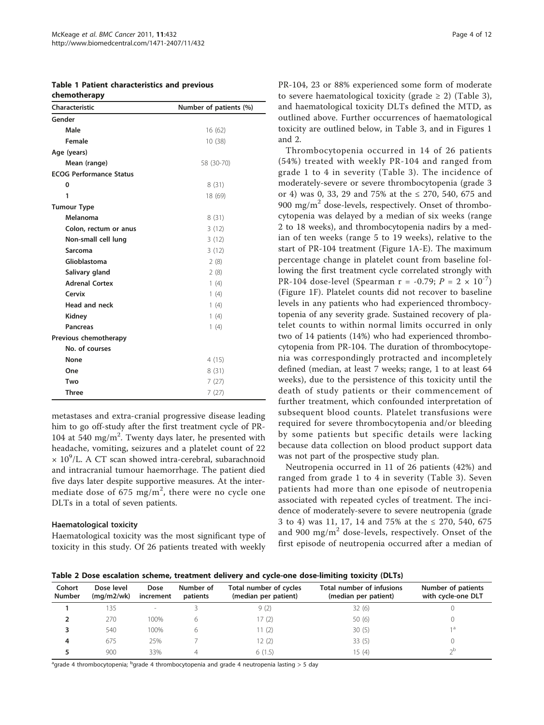<span id="page-3-0"></span>

|  |              | <b>Table 1 Patient characteristics and previous</b> |  |
|--|--------------|-----------------------------------------------------|--|
|  | chemotherapy |                                                     |  |

| <b>Characteristic</b>          | Number of patients (%) |
|--------------------------------|------------------------|
| Gender                         |                        |
| Male                           | 16(62)                 |
| Female                         | 10 (38)                |
| Age (years)                    |                        |
| Mean (range)                   | 58 (30-70)             |
| <b>ECOG Performance Status</b> |                        |
| 0                              | 8(31)                  |
| 1                              | 18 (69)                |
| <b>Tumour Type</b>             |                        |
| Melanoma                       | 8(31)                  |
| Colon, rectum or anus          | 3(12)                  |
| Non-small cell lung            | 3(12)                  |
| Sarcoma                        | 3(12)                  |
| Glioblastoma                   | 2(8)                   |
| Salivary gland                 | 2(8)                   |
| <b>Adrenal Cortex</b>          | 1(4)                   |
| Cervix                         | 1(4)                   |
| Head and neck                  | 1(4)                   |
| Kidney                         | 1(4)                   |
| <b>Pancreas</b>                | 1(4)                   |
| Previous chemotherapy          |                        |
| No. of courses                 |                        |
| None                           | 4(15)                  |
| One                            | 8(31)                  |
| Two                            | 7(27)                  |
| <b>Three</b>                   | 7(27)                  |

metastases and extra-cranial progressive disease leading him to go off-study after the first treatment cycle of PR-104 at 540 mg/m<sup>2</sup>. Twenty days later, he presented with headache, vomiting, seizures and a platelet count of 22  $\times$  10<sup>9</sup>/L. A CT scan showed intra-cerebral, subarachnoid and intracranial tumour haemorrhage. The patient died five days later despite supportive measures. At the intermediate dose of  $675 \text{ mg/m}^2$ , there were no cycle one DLTs in a total of seven patients.

## Haematological toxicity

Haematological toxicity was the most significant type of toxicity in this study. Of 26 patients treated with weekly PR-104, 23 or 88% experienced some form of moderate to severe haematological toxicity (grade  $\geq$  2) (Table [3](#page-4-0)), and haematological toxicity DLTs defined the MTD, as outlined above. Further occurrences of haematological toxicity are outlined below, in Table [3,](#page-4-0) and in Figures [1](#page-5-0) and [2.](#page-6-0)

Thrombocytopenia occurred in 14 of 26 patients (54%) treated with weekly PR-104 and ranged from grade 1 to 4 in severity (Table [3\)](#page-4-0). The incidence of moderately-severe or severe thrombocytopenia (grade 3 or 4) was 0, 33, 29 and 75% at the ≤ 270, 540, 675 and 900 mg/ $m^2$  dose-levels, respectively. Onset of thrombocytopenia was delayed by a median of six weeks (range 2 to 18 weeks), and thrombocytopenia nadirs by a median of ten weeks (range 5 to 19 weeks), relative to the start of PR-104 treatment (Figure [1A-E](#page-5-0)). The maximum percentage change in platelet count from baseline following the first treatment cycle correlated strongly with PR-104 dose-level (Spearman r = -0.79;  $P = 2 \times 10^{-7}$ ) (Figure [1F](#page-5-0)). Platelet counts did not recover to baseline levels in any patients who had experienced thrombocytopenia of any severity grade. Sustained recovery of platelet counts to within normal limits occurred in only two of 14 patients (14%) who had experienced thrombocytopenia from PR-104. The duration of thrombocytopenia was correspondingly protracted and incompletely defined (median, at least 7 weeks; range, 1 to at least 64 weeks), due to the persistence of this toxicity until the death of study patients or their commencement of further treatment, which confounded interpretation of subsequent blood counts. Platelet transfusions were required for severe thrombocytopenia and/or bleeding by some patients but specific details were lacking because data collection on blood product support data was not part of the prospective study plan.

Neutropenia occurred in 11 of 26 patients (42%) and ranged from grade 1 to 4 in severity (Table [3](#page-4-0)). Seven patients had more than one episode of neutropenia associated with repeated cycles of treatment. The incidence of moderately-severe to severe neutropenia (grade 3 to 4) was 11, 17, 14 and 75% at the ≤ 270, 540, 675 and 900 mg/ $m^2$  dose-levels, respectively. Onset of the first episode of neutropenia occurred after a median of

Table 2 Dose escalation scheme, treatment delivery and cycle-one dose-limiting toxicity (DLTs)

| Cohort<br><b>Number</b> | Dose level<br>(mq/m2/wk) | Dose<br>increment        | Number of<br>patients | Total number of cycles<br>(median per patient) | Total number of infusions<br>(median per patient) | Number of patients<br>with cycle-one DLT |
|-------------------------|--------------------------|--------------------------|-----------------------|------------------------------------------------|---------------------------------------------------|------------------------------------------|
|                         | 135                      | $\overline{\phantom{a}}$ |                       | 9(2)                                           | 32(6)                                             |                                          |
|                         | 270                      | 100%                     | b                     | 17(2)                                          | 50(6)                                             |                                          |
|                         | 540                      | 100%                     |                       | 11(2)                                          | 30(5)                                             | 1a                                       |
| 4                       | 675                      | 25%                      |                       | 12(2)                                          | 33(5)                                             |                                          |
|                         | 900                      | 33%                      | 4                     | 6(1.5)                                         | 15(4)                                             | $\neg b$                                 |

<sup>a</sup>grade 4 thrombocytopenia; <sup>b</sup>grade 4 thrombocytopenia and grade 4 neutropenia lasting > 5 day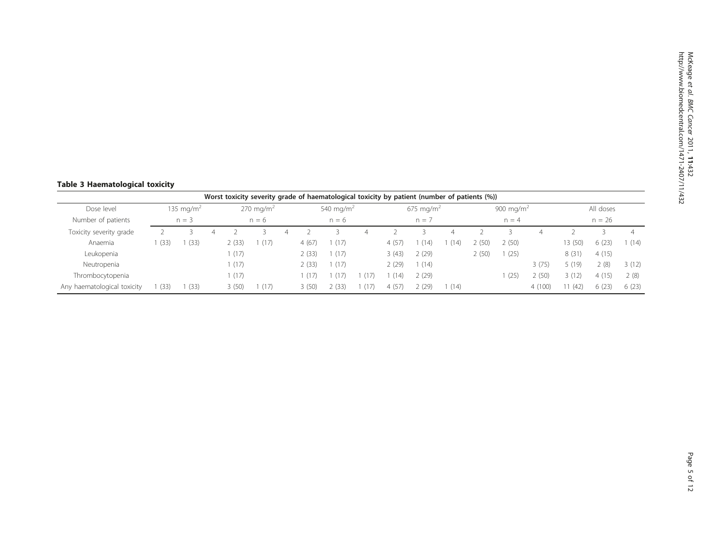# <span id="page-4-0"></span>Table 3 Haematological toxicity

|                             |      |                       |   |               |                      |       |                       |        | Worst toxicity severity grade of haematological toxicity by patient (number of patients (%)) |       |       |                       |        |         |           |        |
|-----------------------------|------|-----------------------|---|---------------|----------------------|-------|-----------------------|--------|----------------------------------------------------------------------------------------------|-------|-------|-----------------------|--------|---------|-----------|--------|
| Dose level                  |      | 135 mg/m <sup>2</sup> |   |               | $270 \text{ mg/m}^2$ |       | 540 mg/m <sup>2</sup> |        | 675 mg/m <sup>2</sup>                                                                        |       |       | 900 mg/m <sup>2</sup> |        |         | All doses |        |
| Number of patients          |      | $n = 3$               |   |               | $n = 6$              |       | $n = 6$               |        | $n = 7$                                                                                      |       |       | $n = 4$               |        |         | $n = 26$  |        |
| Toxicity severity grade     |      |                       | 4 |               |                      |       |                       |        |                                                                                              |       |       |                       |        |         |           | 4      |
| Anaemia                     | (33) | (33)                  |   | $\angle$ (33) | (1/                  | 4(67) | (17)                  | 4(57)  | (14)                                                                                         | (14)  | (50)  | 2(50)                 |        | 13 (50) | 6(23)     | 1 (14) |
| Leukopenia                  |      |                       |   | (17)          |                      | 2(33) | (17)                  | 3(43)  | 2(29)                                                                                        |       | 2(50) | (25)                  |        | 8(31)   | 4(15)     |        |
| Neutropenia                 |      |                       |   | (17)          |                      | 2(33) | (17)                  | 2 (29) | (14)                                                                                         |       |       |                       | 3(75)  | 5 (19)  | 2(8)      | 3(12)  |
| Thrombocytopenia            |      |                       |   | (17)          |                      | (17)  | (17)                  | (14)   | 2(29)                                                                                        |       |       | (25)                  | (50)   | 3(12)   | 4(15)     | 2(8)   |
| Any haematological toxicity | (33) | (33)                  |   | 3(50)         | (1/                  | 3(50) | (33)                  | 4(57)  | 2(29)                                                                                        | 1(14) |       |                       | 4(100) | (42)    | 6(23)     | 6(23)  |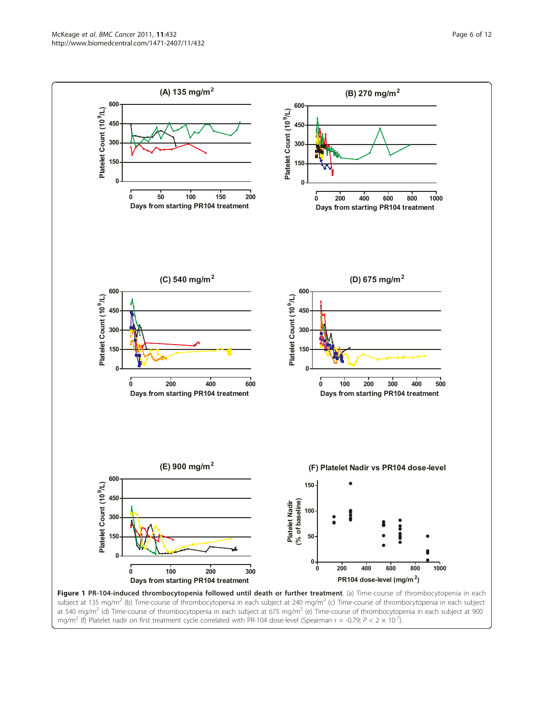<span id="page-5-0"></span>

Page 6 of 12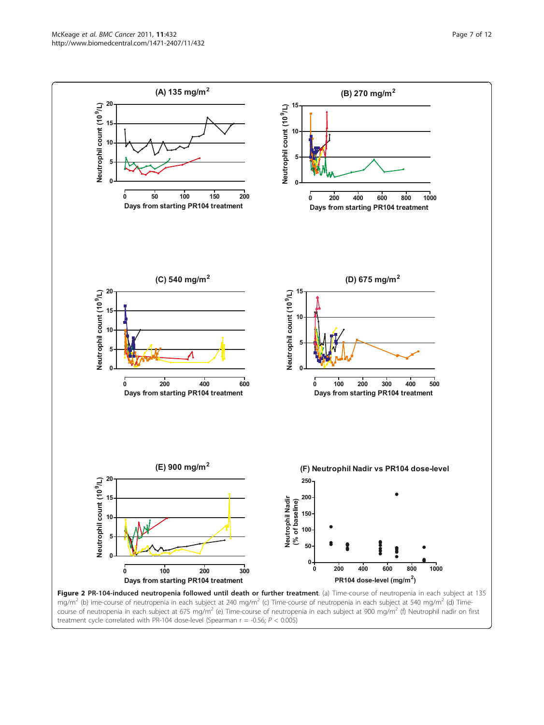<span id="page-6-0"></span>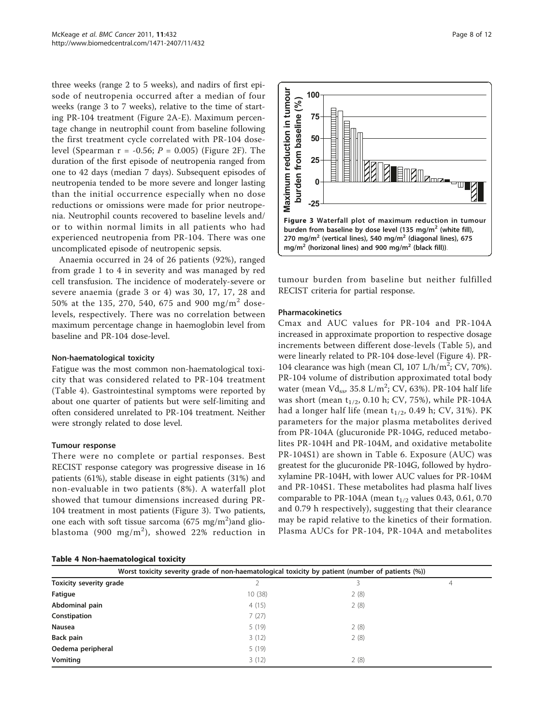three weeks (range 2 to 5 weeks), and nadirs of first episode of neutropenia occurred after a median of four weeks (range 3 to 7 weeks), relative to the time of starting PR-104 treatment (Figure [2A-E](#page-6-0)). Maximum percentage change in neutrophil count from baseline following the first treatment cycle correlated with PR-104 doselevel (Spearman  $r = -0.56$ ;  $P = 0.005$ ) (Figure [2F\)](#page-6-0). The duration of the first episode of neutropenia ranged from one to 42 days (median 7 days). Subsequent episodes of neutropenia tended to be more severe and longer lasting than the initial occurrence especially when no dose reductions or omissions were made for prior neutropenia. Neutrophil counts recovered to baseline levels and/ or to within normal limits in all patients who had experienced neutropenia from PR-104. There was one uncomplicated episode of neutropenic sepsis.

Anaemia occurred in 24 of 26 patients (92%), ranged from grade 1 to 4 in severity and was managed by red cell transfusion. The incidence of moderately-severe or severe anaemia (grade 3 or 4) was 30, 17, 17, 28 and 50% at the 135, 270, 540, 675 and 900 mg/m<sup>2</sup> doselevels, respectively. There was no correlation between maximum percentage change in haemoglobin level from baseline and PR-104 dose-level.

# Non-haematological toxicity

Fatigue was the most common non-haematological toxicity that was considered related to PR-104 treatment (Table 4). Gastrointestinal symptoms were reported by about one quarter of patients but were self-limiting and often considered unrelated to PR-104 treatment. Neither were strongly related to dose level.

## Tumour response

There were no complete or partial responses. Best RECIST response category was progressive disease in 16 patients (61%), stable disease in eight patients (31%) and non-evaluable in two patients (8%). A waterfall plot showed that tumour dimensions increased during PR-104 treatment in most patients (Figure 3). Two patients, one each with soft tissue sarcoma  $(675 \text{ mg/m}^2)$ and glioblastoma (900 mg/m<sup>2</sup>), showed 22% reduction in

|  |  | Table 4 Non-haematological toxicity |  |  |
|--|--|-------------------------------------|--|--|
|--|--|-------------------------------------|--|--|



tumour burden from baseline but neither fulfilled RECIST criteria for partial response.

# Pharmacokinetics

Cmax and AUC values for PR-104 and PR-104A Pincreased in approximate proportion to respective dosage increments between different dose-levels (Table [5\)](#page-8-0), and were linearly related to PR-104 dose-level (Figure [4](#page-8-0)). PR-104 clearance was high (mean Cl,  $107 \text{ L/h/m}^2$ ; CV, 70%). PR-104 volume of distribution approximated total body water (mean  $Vd_{ss}$ , 35.8  $L/m^2$ ; CV, 63%). PR-104 half life was short (mean  $t_{1/2}$ , 0.10 h; CV, 75%), while PR-104A had a longer half life (mean  $t_{1/2}$ , 0.49 h; CV, 31%). PK parameters for the major plasma metabolites derived from PR-104A (glucuronide PR-104G, reduced metabolites PR-104H and PR-104M, and oxidative metabolite PR-104S1) are shown in Table [6.](#page-9-0) Exposure (AUC) was greatest for the glucuronide PR-104G, followed by hydroxylamine PR-104H, with lower AUC values for PR-104M and PR-104S1. These metabolites had plasma half lives comparable to PR-104A (mean  $t_{1/2}$  values 0.43, 0.61, 0.70 and 0.79 h respectively), suggesting that their clearance may be rapid relative to the kinetics of their formation. Plasma AUCs for PR-104, PR-104A and metabolites

| Worst toxicity severity grade of non-haematological toxicity by patient (number of patients (%)) |        |      |   |  |  |  |  |  |
|--------------------------------------------------------------------------------------------------|--------|------|---|--|--|--|--|--|
| Toxicity severity grade                                                                          |        | 3    | 4 |  |  |  |  |  |
| Fatigue                                                                                          | 10(38) | 2(8) |   |  |  |  |  |  |
| Abdominal pain                                                                                   | 4(15)  | 2(8) |   |  |  |  |  |  |
| Constipation                                                                                     | 7(27)  |      |   |  |  |  |  |  |
| Nausea                                                                                           | 5(19)  | 2(8) |   |  |  |  |  |  |
| Back pain                                                                                        | 3(12)  | 2(8) |   |  |  |  |  |  |
| Oedema peripheral                                                                                | 5(19)  |      |   |  |  |  |  |  |
| Vomiting                                                                                         | 3(12)  | 2(8) |   |  |  |  |  |  |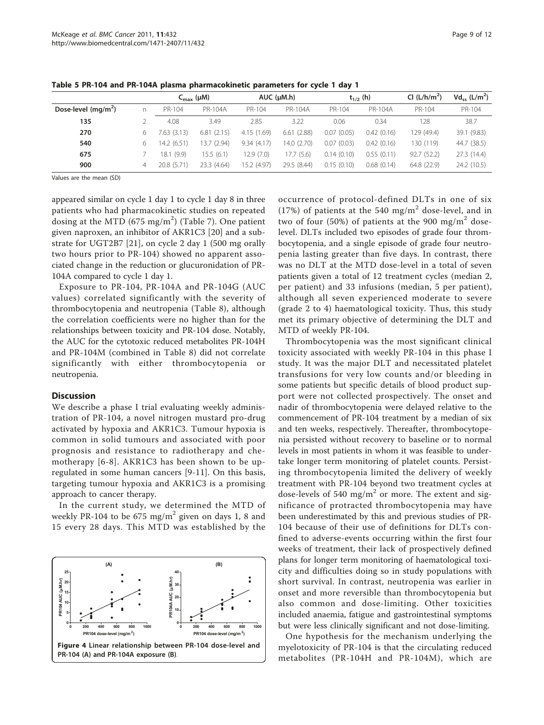|                       |   | $C_{\text{max}}$ ( $\mu$ M) |                |            | $AUC$ ( $\mu$ M.h) |            | $t_{1/2}$ (h) | CI $(L/h/m2)$ | $Vd_{ss}$ (L/m <sup>2</sup> ) |
|-----------------------|---|-----------------------------|----------------|------------|--------------------|------------|---------------|---------------|-------------------------------|
| Dose-level $(mq/m^2)$ |   | PR-104                      | <b>PR-104A</b> | PR-104     | PR-104A            | PR-104     | PR-104A       | PR-104        | PR-104                        |
| 135                   |   | 4.08                        | 3.49           | 2.85       | 3.22               | 0.06       | 0.34          | 128           | 38.7                          |
| 270                   | ь | 7.63 (3.13)                 | 6.81(2.15)     | 4.15(1.69) | 6.61(2.88)         | 0.07(0.05) | 0.42(0.16)    | 129 (49.4)    | 39.1 (9.83)                   |
| 540                   | 6 | 14.2 (6.51)                 | 13.7 (2.94)    | 9.34(4.17) | 14.0 (2.70)        | 0.07(0.03) | 0.42(0.16)    | 130 (119)     | 44.7 (38.5)                   |
| 675                   |   | 18.1 (9.9)                  | 15.5(6.1)      | 12.9 (7.0) | 17.7(5.6)          | 0.14(0.10) | 0.55(0.11)    | 92.7 (52.2)   | 27.3 (14.4)                   |
| 900                   | 4 | 20.8 (5.71)                 | 23.3 (4.64)    | 5.2 (4.97) | 29.5 (8.44)        | 0.15(0.10) | 0.68(0.14)    | 64.8 (22.9)   | 24.2 (10.5)                   |

<span id="page-8-0"></span>Table 5 PR-104 and PR-104A plasma pharmacokinetic parameters for cycle 1 day 1

Values are the mean (SD)

appeared similar on cycle 1 day 1 to cycle 1 day 8 in three patients who had pharmacokinetic studies on repeated dosing at the MTD (675 mg/m $^2)$  (Table [7](#page-9-0)). One patient given naproxen, an inhibitor of AKR1C3 [[20\]](#page-10-0) and a substrate for UGT2B7 [\[21](#page-11-0)], on cycle 2 day 1 (500 mg orally two hours prior to PR-104) showed no apparent associated change in the reduction or glucuronidation of PR-104A compared to cycle 1 day 1.

Exposure to PR-104, PR-104A and PR-104G (AUC values) correlated significantly with the severity of thrombocytopenia and neutropenia (Table [8\)](#page-9-0), although the correlation coefficients were no higher than for the relationships between toxicity and PR-104 dose. Notably, the AUC for the cytotoxic reduced metabolites PR-104H and PR-104M (combined in Table [8](#page-9-0)) did not correlate significantly with either thrombocytopenia or neutropenia.

## **Discussion**

We describe a phase I trial evaluating weekly administration of PR-104, a novel nitrogen mustard pro-drug activated by hypoxia and AKR1C3. Tumour hypoxia is common in solid tumours and associated with poor prognosis and resistance to radiotherapy and chemotherapy [\[6-8\]](#page-10-0). AKR1C3 has been shown to be upregulated in some human cancers [[9-11](#page-10-0)]. On this basis, targeting tumour hypoxia and AKR1C3 is a promising approach to cancer therapy.

In the current study, we determined the MTD of weekly PR-104 to be  $675 \text{ mg/m}^2$  given on days 1, 8 and 15 every 28 days. This MTD was established by the



occurrence of protocol-defined DLTs in one of six (17%) of patients at the 540 mg/m<sup>2</sup> dose-level, and in two of four (50%) of patients at the 900 mg/m<sup>2</sup> doselevel. DLTs included two episodes of grade four thrombocytopenia, and a single episode of grade four neutropenia lasting greater than five days. In contrast, there was no DLT at the MTD dose-level in a total of seven patients given a total of 12 treatment cycles (median 2, per patient) and 33 infusions (median, 5 per patient), although all seven experienced moderate to severe (grade 2 to 4) haematological toxicity. Thus, this study met its primary objective of determining the DLT and MTD of weekly PR-104.

Thrombocytopenia was the most significant clinical toxicity associated with weekly PR-104 in this phase I study. It was the major DLT and necessitated platelet transfusions for very low counts and/or bleeding in some patients but specific details of blood product support were not collected prospectively. The onset and nadir of thrombocytopenia were delayed relative to the commencement of PR-104 treatment by a median of six and ten weeks, respectively. Thereafter, thrombocytopenia persisted without recovery to baseline or to normal levels in most patients in whom it was feasible to undertake longer term monitoring of platelet counts. Persisting thrombocytopenia limited the delivery of weekly treatment with PR-104 beyond two treatment cycles at dose-levels of 540 mg/m<sup>2</sup> or more. The extent and significance of protracted thrombocytopenia may have been underestimated by this and previous studies of PR-104 because of their use of definitions for DLTs confined to adverse-events occurring within the first four weeks of treatment, their lack of prospectively defined plans for longer term monitoring of haematological toxicity and difficulties doing so in study populations with short survival. In contrast, neutropenia was earlier in onset and more reversible than thrombocytopenia but also common and dose-limiting. Other toxicities included anaemia, fatigue and gastrointestinal symptoms but were less clinically significant and not dose-limiting.

One hypothesis for the mechanism underlying the myelotoxicity of PR-104 is that the circulating reduced metabolites (PR-104H and PR-104M), which are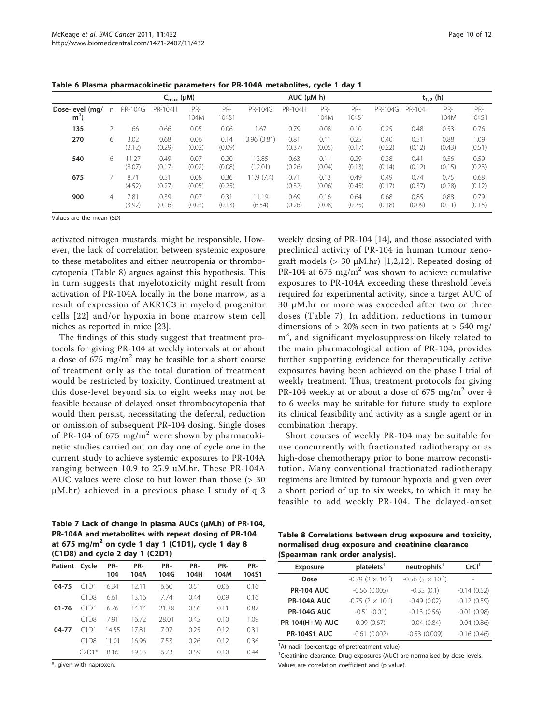| Page 10 of 12 |  |  |
|---------------|--|--|
|               |  |  |

<span id="page-9-0"></span>Table 6 Plasma pharmacokinetic parameters for PR-104A metabolites, cycle 1 day 1

|                                   | $C_{\text{max}}$ ( $\mu$ M) |                 |                |                |                |                  | $AUC$ ( $\mu$ M h) |                |                |                | $t_{1/2}$ (h)  |                |                |
|-----------------------------------|-----------------------------|-----------------|----------------|----------------|----------------|------------------|--------------------|----------------|----------------|----------------|----------------|----------------|----------------|
| Dose-level (mg/<br>m <sup>2</sup> | n                           | <b>PR-104G</b>  | PR-104H        | PR-<br>104M    | PR-<br>104S1   | PR-104G          | PR-104H            | PR-<br>104M    | PR-<br>104S1   | PR-104G        | PR-104H        | PR-<br>104M    | PR-<br>104S1   |
| 135                               |                             | .66             | 0.66           | 0.05           | 0.06           | 1.67             | 0.79               | 0.08           | 0.10           | 0.25           | 0.48           | 0.53           | 0.76           |
| 270                               | 6                           | 3.02<br>(2.12)  | 0.68<br>(0.29) | 0.06<br>(0.02) | 0.14<br>(0.09) | 3.96(3.81)       | 0.81<br>(0.37)     | 0.11<br>(0.05) | 0.25<br>(0.17) | 0.40<br>(0.22) | 0.51<br>(0.12) | 0.88<br>(0.43) | 1.09<br>(0.51) |
| 540                               | 6                           | 11.27<br>(8.07) | 0.49<br>(0.17) | 0.07<br>(0.02) | 0.20<br>(0.08) | 13.85<br>(12.01) | 0.63<br>(0.26)     | 0.11<br>(0.04) | 0.29<br>(0.13) | 0.38<br>(0.14) | 0.41<br>(0.12) | 0.56<br>(0.15) | 0.59<br>(0.23) |
| 675                               |                             | 8.71<br>(4.52)  | 0.51<br>(0.27) | 0.08<br>(0.05) | 0.36<br>(0.25) | 11.9 (7.4)       | 0.71<br>(0.32)     | 0.13<br>(0.06) | 0.49<br>(0.45) | 0.49<br>(0.17) | 0.74<br>(0.37) | 0.75<br>(0.28) | 0.68<br>(0.12) |
| 900                               | 4                           | 7.81<br>(3.92)  | 0.39<br>(0.16) | 0.07<br>(0.03) | 0.31<br>(0.13) | 11.19<br>(6.54)  | 0.69<br>(0.26)     | 0.16<br>(0.08) | 0.64<br>(0.25) | 0.68<br>(0.18) | 0.85<br>(0.09) | 0.88<br>(0.11) | 0.79<br>(0.15) |

Values are the mean (SD)

activated nitrogen mustards, might be responsible. However, the lack of correlation between systemic exposure to these metabolites and either neutropenia or thrombocytopenia (Table 8) argues against this hypothesis. This in turn suggests that myelotoxicity might result from activation of PR-104A locally in the bone marrow, as a result of expression of AKR1C3 in myeloid progenitor cells [[22\]](#page-11-0) and/or hypoxia in bone marrow stem cell niches as reported in mice [\[23\]](#page-11-0).

The findings of this study suggest that treatment protocols for giving PR-104 at weekly intervals at or about a dose of 675 mg/m<sup>2</sup> may be feasible for a short course of treatment only as the total duration of treatment would be restricted by toxicity. Continued treatment at this dose-level beyond six to eight weeks may not be feasible because of delayed onset thrombocytopenia that would then persist, necessitating the deferral, reduction or omission of subsequent PR-104 dosing. Single doses of PR-104 of 675 mg/m<sup>2</sup> were shown by pharmacokinetic studies carried out on day one of cycle one in the current study to achieve systemic exposures to PR-104A ranging between 10.9 to 25.9 uM.hr. These PR-104A AUC values were close to but lower than those (> 30 μM.hr) achieved in a previous phase I study of q 3

Table 7 Lack of change in plasma AUCs (μM.h) of PR-104, PR-104A and metabolites with repeat dosing of PR-104 at 675 mg/m<sup>2</sup> on cycle 1 day 1 (C1D1), cycle 1 day 8 (C1D8) and cycle 2 day 1 (C2D1)

| Patient Cycle |         | PR-<br>104 | PR-<br>104A | PR-<br>104G | PR-<br>104H | PR-<br>104M | PR-<br>104S1 |
|---------------|---------|------------|-------------|-------------|-------------|-------------|--------------|
| 04-75         | C1D1    | 6.34       | 12.11       | 6.60        | 0.51        | 0.06        | 0.16         |
|               | C1D8    | 6.61       | 13.16       | 7.74        | 0.44        | 0.09        | 0.16         |
| $01 - 76$     | C1D1    | 6.76       | 14.14       | 21.38       | 0.56        | 0.11        | 0.87         |
|               | C1D8    | 7.91       | 16.72       | 28.01       | 0.45        | 0.10        | 1.09         |
| 04-77         | C1D1    | 14.55      | 17.81       | 7.07        | 0.25        | 0.12        | 0.31         |
|               | C1D8    | 11.01      | 16.96       | 7.53        | 0.26        | 0.12        | 0.36         |
|               | $C2D1*$ | 8.16       | 19.53       | 6.73        | 0.59        | 0.10        | 0.44         |

\*, given with naproxen.

weekly dosing of PR-104 [[14\]](#page-10-0), and those associated with preclinical activity of PR-104 in human tumour xenograft models  $(> 30 \mu M/hr)$  [[1,2,12](#page-10-0)]. Repeated dosing of PR-104 at 675 mg/m<sup>2</sup> was shown to achieve cumulative exposures to PR-104A exceeding these threshold levels required for experimental activity, since a target AUC of 30 μM.hr or more was exceeded after two or three doses (Table 7). In addition, reductions in tumour dimensions of  $> 20\%$  seen in two patients at  $> 540$  mg/ m<sup>2</sup>, and significant myelosuppression likely related to the main pharmacological action of PR-104, provides further supporting evidence for therapeutically active exposures having been achieved on the phase I trial of weekly treatment. Thus, treatment protocols for giving PR-104 weekly at or about a dose of 675 mg/m<sup>2</sup> over 4 to 6 weeks may be suitable for future study to explore its clinical feasibility and activity as a single agent or in combination therapy.

Short courses of weekly PR-104 may be suitable for use concurrently with fractionated radiotherapy or as high-dose chemotherapy prior to bone marrow reconstitution. Many conventional fractionated radiotherapy regimens are limited by tumour hypoxia and given over a short period of up to six weeks, to which it may be feasible to add weekly PR-104. The delayed-onset

Table 8 Correlations between drug exposure and toxicity, normalised drug exposure and creatinine clearance (Spearman rank order analysis).

| $\sqrt{2}$             |                                        |                                        |               |
|------------------------|----------------------------------------|----------------------------------------|---------------|
| <b>Exposure</b>        | platelets <sup>†</sup>                 | $neutron$ hils <sup>+</sup>            | $CrCl+$       |
| Dose                   | $-0.79$ (2 $\times$ 10 <sup>-7</sup> ) | $-0.56$ (5 $\times$ 10 <sup>-3</sup> ) |               |
| <b>PR-104 AUC</b>      | $-0.56$ (0.005)                        | $-0.35(0.1)$                           | $-0.14(0.52)$ |
| <b>PR-104A AUC</b>     | $-0.75$ (2 $\times$ 10 <sup>-7</sup> ) | $-0.49(0.02)$                          | $-0.12(0.59)$ |
| <b>PR-104G AUC</b>     | $-0.51(0.01)$                          | $-0.13(0.56)$                          | $-0.01(0.98)$ |
| <b>PR-104(H+M) AUC</b> | 0.09(0.67)                             | $-0.04(0.84)$                          | $-0.04(0.86)$ |
| <b>PR-104S1 AUC</b>    | $-0.61(0.002)$                         | $-0.53$ (0.009)                        | $-0.16(0.46)$ |

† At nadir (percentage of pretreatment value)

‡ Creatinine clearance. Drug exposures (AUC) are normalised by dose levels. Values are correlation coefficient and (p value).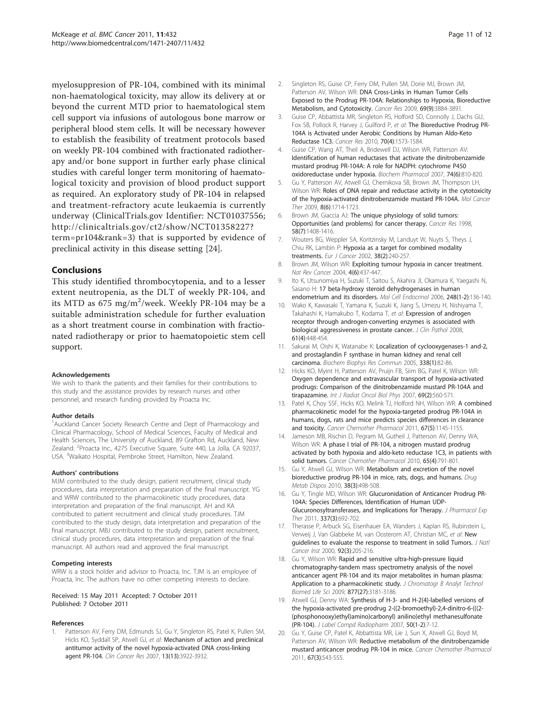<span id="page-10-0"></span>myelosuppresion of PR-104, combined with its minimal non-haematological toxicity, may allow its delivery at or beyond the current MTD prior to haematological stem cell support via infusions of autologous bone marrow or peripheral blood stem cells. It will be necessary however to establish the feasibility of treatment protocols based on weekly PR-104 combined with fractionated radiotherapy and/or bone support in further early phase clinical studies with careful longer term monitoring of haematological toxicity and provision of blood product support as required. An exploratory study of PR-104 in relapsed and treatment-refractory acute leukaemia is currently underway (ClinicalTrials.gov Identifier: NCT01037556; [http://clinicaltrials.gov/ct2/show/NCT01358227?](http://clinicaltrials.gov/ct2/show/NCT01358227?term=pr104&rank=3) [term=pr104&rank=3\)](http://clinicaltrials.gov/ct2/show/NCT01358227?term=pr104&rank=3) that is supported by evidence of preclinical activity in this disease setting [\[24](#page-11-0)].

# Conclusions

This study identified thrombocytopenia, and to a lesser extent neutropenia, as the DLT of weekly PR-104, and its MTD as 675 mg/m<sup>2</sup>/week. Weekly PR-104 may be a suitable administration schedule for further evaluation as a short treatment course in combination with fractionated radiotherapy or prior to haematopoietic stem cell support.

## Acknowledgements

We wish to thank the patients and their families for their contributions to this study and the assistance provides by research nurses and other personnel, and research funding provided by Proacta Inc.

#### Author details

<sup>1</sup> Auckland Cancer Society Research Centre and Dept of Pharmacology and Clinical Pharmacology, School of Medical Sciences, Faculty of Medical and Health Sciences, The University of Auckland, 89 Grafton Rd, Auckland, New Zealand. <sup>2</sup>Proacta Inc., 4275 Executive Square, Suite 440, La Jolla, CA 92037, USA. <sup>3</sup>Waikato Hospital, Pembroke Street, Hamilton, New Zealand.

#### Authors' contributions

MJM contributed to the study design, patient recruitment, clinical study procedures, data interpretation and preparation of the final manuscript. YG and WRW contributed to the pharmacokinetic study procedures, data interpretation and preparation of the final manuscript. AH and KA contributed to patient recruitment and clinical study procedures. TJM contributed to the study design, data interpretation and preparation of the final manuscript. MBJ contributed to the study design, patient recruitment, clinical study procedures, data interpretation and preparation of the final manuscript. All authors read and approved the final manuscript.

#### Competing interests

WRW is a stock holder and advisor to Proacta, Inc. TJM is an employee of Proacta, Inc. The authors have no other competing interests to declare.

## Received: 15 May 2011 Accepted: 7 October 2011 Published: 7 October 2011

## References

Patterson AV, Ferry DM, Edmunds SJ, Gu Y, Singleton RS, Patel K, Pullen SM, Hicks KO, Syddall SP, Atwell GJ, et al: [Mechanism of action and preclinical](http://www.ncbi.nlm.nih.gov/pubmed/17606726?dopt=Abstract) [antitumor activity of the novel hypoxia-activated DNA cross-linking](http://www.ncbi.nlm.nih.gov/pubmed/17606726?dopt=Abstract) [agent PR-104.](http://www.ncbi.nlm.nih.gov/pubmed/17606726?dopt=Abstract) Clin Cancer Res 2007, 13(13):3922-3932.

- 2. Singleton RS, Guise CP, Ferry DM, Pullen SM, Dorie MJ, Brown JM, Patterson AV, Wilson WR: [DNA Cross-Links in Human Tumor Cells](http://www.ncbi.nlm.nih.gov/pubmed/19366798?dopt=Abstract) [Exposed to the Prodrug PR-104A: Relationships to Hypoxia, Bioreductive](http://www.ncbi.nlm.nih.gov/pubmed/19366798?dopt=Abstract) [Metabolism, and Cytotoxicity.](http://www.ncbi.nlm.nih.gov/pubmed/19366798?dopt=Abstract) Cancer Res 2009, 69(9):3884-3891.
- 3. Guise CP, Abbattista MR, Singleton RS, Holford SD, Connolly J, Dachs GU, Fox SB, Pollock R, Harvey J, Guilford P, et al: [The Bioreductive Prodrug PR-](http://www.ncbi.nlm.nih.gov/pubmed/20145130?dopt=Abstract)[104A is Activated under Aerobic Conditions by Human Aldo-Keto](http://www.ncbi.nlm.nih.gov/pubmed/20145130?dopt=Abstract) [Reductase 1C3.](http://www.ncbi.nlm.nih.gov/pubmed/20145130?dopt=Abstract) Cancer Res 2010, 70(4):1573-1584.
- 4. Guise CP, Wang AT, Theil A, Bridewell DJ, Wilson WR, Patterson AV: [Identification of human reductases that activate the dinitrobenzamide](http://www.ncbi.nlm.nih.gov/pubmed/17645874?dopt=Abstract) [mustard prodrug PR-104A: A role for NADPH: cytochrome P450](http://www.ncbi.nlm.nih.gov/pubmed/17645874?dopt=Abstract) [oxidoreductase under hypoxia.](http://www.ncbi.nlm.nih.gov/pubmed/17645874?dopt=Abstract) Biochem Pharmacol 2007, 74(6):810-820.
- 5. Gu Y, Patterson AV, Atwell GJ, Chernikova SB, Brown JM, Thompson LH, Wilson WR: [Roles of DNA repair and reductase activity in the cytotoxicity](http://www.ncbi.nlm.nih.gov/pubmed/19509245?dopt=Abstract) [of the hypoxia-activated dinitrobenzamide mustard PR-104A.](http://www.ncbi.nlm.nih.gov/pubmed/19509245?dopt=Abstract) Mol Cancer Ther 2009, 8(6):1714-1723.
- 6. Brown JM, Giaccia AJ: [The unique physiology of solid tumors:](http://www.ncbi.nlm.nih.gov/pubmed/9537241?dopt=Abstract) [Opportunities \(and problems\) for cancer therapy.](http://www.ncbi.nlm.nih.gov/pubmed/9537241?dopt=Abstract) Cancer Res 1998, 58(7):1408-1416.
- 7. Wouters BG, Weppler SA, Koritzinsky M, Landuyt W, Nuyts S, Theys J, Chiu RK, Lambin P: [Hypoxia as a target for combined modality](http://www.ncbi.nlm.nih.gov/pubmed/11803141?dopt=Abstract) [treatments.](http://www.ncbi.nlm.nih.gov/pubmed/11803141?dopt=Abstract) Eur J Cancer 2002, 38(2):240-257.
- 8. Brown JM, Wilson WR: [Exploiting tumour hypoxia in cancer treatment.](http://www.ncbi.nlm.nih.gov/pubmed/15170446?dopt=Abstract) Nat Rev Cancer 2004, 4(6):437-447.
- 9. Ito K, Utsunomiya H, Suzuki T, Saitou S, Akahira JI, Okamura K, Yaegashi N, Sasano H: [17 beta-hydroxy steroid dehydrogenases in human](http://www.ncbi.nlm.nih.gov/pubmed/16406263?dopt=Abstract) [endometrium and its disorders.](http://www.ncbi.nlm.nih.gov/pubmed/16406263?dopt=Abstract) Mol Cell Endocrinol 2006, 248(1-2):136-140.
- 10. Wako K, Kawasaki T, Yamana K, Suzuki K, Jiang S, Umezu H, Nishiyama T, Takahashi K, Hamakubo T, Kodama T, et al: [Expression of androgen](http://www.ncbi.nlm.nih.gov/pubmed/17720776?dopt=Abstract) [receptor through androgen-converting enzymes is associated with](http://www.ncbi.nlm.nih.gov/pubmed/17720776?dopt=Abstract) [biological aggressiveness in prostate cancer.](http://www.ncbi.nlm.nih.gov/pubmed/17720776?dopt=Abstract) J Clin Pathol 2008, 61(4):448-454.
- 11. Sakurai M, Oishi K, Watanabe K: [Localization of cyclooxygenases-1 and-2,](http://www.ncbi.nlm.nih.gov/pubmed/16157291?dopt=Abstract) [and prostaglandin F synthase in human kidney and renal cell](http://www.ncbi.nlm.nih.gov/pubmed/16157291?dopt=Abstract) [carcinoma.](http://www.ncbi.nlm.nih.gov/pubmed/16157291?dopt=Abstract) Biochem Biophys Res Commun 2005, 338(1):82-86.
- 12. Hicks KO, Myint H, Patterson AV, Pruijn FB, Siim BG, Patel K, Wilson WR: [Oxygen dependence and extravascular transport of hypoxia-activated](http://www.ncbi.nlm.nih.gov/pubmed/17869669?dopt=Abstract) [prodrugs: Comparison of the dinitrobenzamide mustard PR-104A and](http://www.ncbi.nlm.nih.gov/pubmed/17869669?dopt=Abstract) [tirapazamine.](http://www.ncbi.nlm.nih.gov/pubmed/17869669?dopt=Abstract) Int J Radiat Oncol Biol Phys 2007, 69(2):560-571.
- 13. Patel K, Choy SSF, Hicks KO, Melink TJ, Holford NH, Wilson WR: [A combined](http://www.ncbi.nlm.nih.gov/pubmed/20683596?dopt=Abstract) [pharmacokinetic model for the hypoxia-targeted prodrug PR-104A in](http://www.ncbi.nlm.nih.gov/pubmed/20683596?dopt=Abstract) humans, dogs, [rats and mice predicts species differences in clearance](http://www.ncbi.nlm.nih.gov/pubmed/20683596?dopt=Abstract) [and toxicity.](http://www.ncbi.nlm.nih.gov/pubmed/20683596?dopt=Abstract) Cancer Chemother Pharmacol 2011, 67(5):1145-1155.
- 14. Jameson MB, Rischin D, Pegram M, Gutheil J, Patterson AV, Denny WA, Wilson WR: [A phase I trial of PR-104, a nitrogen mustard prodrug](http://www.ncbi.nlm.nih.gov/pubmed/20012293?dopt=Abstract) [activated by both hypoxia and aldo-keto reductase 1C3, in patients with](http://www.ncbi.nlm.nih.gov/pubmed/20012293?dopt=Abstract) [solid tumors.](http://www.ncbi.nlm.nih.gov/pubmed/20012293?dopt=Abstract) Cancer Chemother Pharmacol 2010, 65(4):791-801.
- 15. Gu Y, Atwell GJ, Wilson WR: [Metabolism and excretion of the novel](http://www.ncbi.nlm.nih.gov/pubmed/20019245?dopt=Abstract) [bioreductive prodrug PR-104 in mice, rats, dogs, and humans.](http://www.ncbi.nlm.nih.gov/pubmed/20019245?dopt=Abstract) Drug Metab Dispos 2010, 38(3):498-508.
- 16. Gu Y, Tingle MD, Wilson WR: [Glucuronidation of Anticancer Prodrug PR-](http://www.ncbi.nlm.nih.gov/pubmed/21427202?dopt=Abstract)[104A: Species Differences, Identification of Human UDP-](http://www.ncbi.nlm.nih.gov/pubmed/21427202?dopt=Abstract)[Glucuronosyltransferases, and Implications for Therapy.](http://www.ncbi.nlm.nih.gov/pubmed/21427202?dopt=Abstract) J Pharmacol Exp Ther 2011, 337(3):692-702.
- 17. Therasse P, Arbuck SG, Eisenhauer EA, Wanders J, Kaplan RS, Rubinstein L, Verweij J, Van Glabbeke M, van Oosterom AT, Christian MC, et al: [New](http://www.ncbi.nlm.nih.gov/pubmed/10655437?dopt=Abstract) [guidelines to evaluate the response to treatment in solid Tumors.](http://www.ncbi.nlm.nih.gov/pubmed/10655437?dopt=Abstract) J Natl Cancer Inst 2000, 92(3):205-216.
- 18. Gu Y, Wilson WR: [Rapid and sensitive ultra-high-pressure liquid](http://www.ncbi.nlm.nih.gov/pubmed/19709934?dopt=Abstract) [chromatography-tandem mass spectrometry analysis of the novel](http://www.ncbi.nlm.nih.gov/pubmed/19709934?dopt=Abstract) [anticancer agent PR-104 and its major metabolites in human plasma:](http://www.ncbi.nlm.nih.gov/pubmed/19709934?dopt=Abstract) [Application to a pharmacokinetic study.](http://www.ncbi.nlm.nih.gov/pubmed/19709934?dopt=Abstract) J Chromatogr B Analyt Technol Biomed Life Sci 2009, 877(27):3181-3186.
- 19. Atwell GJ, Denny WA: Synthesis of H-3- and H-2(4)-labelled versions of the hypoxia-activated pre-prodrug 2-((2-bromoethyl)-2,4-dinitro-6-(((2- (phosphonooxy)ethyl)amino)carbonyl) anilino)ethyl methanesulfonate (PR-104). J Label Compd Radiopharm 2007, 50(1-2):7-12.
- Gu Y, Guise CP, Patel K, Abbattista MR, Lie J, Sun X, Atwell GJ, Boyd M, Patterson AV, Wilson WR: [Reductive metabolism of the dinitrobenzamide](http://www.ncbi.nlm.nih.gov/pubmed/20473609?dopt=Abstract) [mustard anticancer prodrug PR-104 in mice.](http://www.ncbi.nlm.nih.gov/pubmed/20473609?dopt=Abstract) Cancer Chemother Pharmacol 2011, 67(3):543-555.